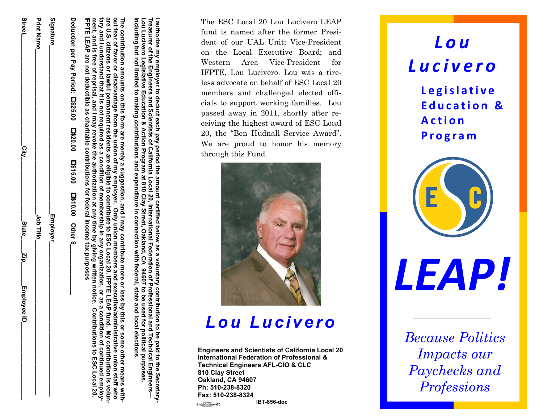|  |           | ີ<br>ໄ<br> <br> | Street                                                           |
|--|-----------|-----------------|------------------------------------------------------------------|
|  | Job Title |                 | <b>Print Name</b>                                                |
|  | Employer_ |                 | Signature                                                        |
|  |           |                 | Deduction per Pay Period: [1\$25.00 [1\$15.00 [1\$10.00 Other \$ |

**tary and I understand that it is not required as a condition of membership in** are **ment, and is free of reprisal, and I may revoke the authorization at any time by giving are U.S. citizens or lawful permanent residents are eligible t The contribution amounts on this form are merely a suggestion, and I may including but n** including but not limited to making contributions and expenditure in connection with federal,<br>The contribution amounts on this form are merely a suggestion, and I may contribute more our<br>but fear of favor or disadvantage f 'he contribution amounts on this form are merely a suggestion, and I may contribute more or less by this or some other means with fear of favor or disadvantage from the union of my employer. ize my<br>er of tributi<br>Sixero la dia dia 11 und<br>11 und is fr<br>EAP al<br>EAP a **of favor or ot limited** or lawful **disadvantage from the to making contributions and expenditure in connection union of my employer. Only union members and executive/administrative union staff o contribute t o ESC Local 20, IFPTE contribute more any organization, or with federal, state and local elections. written notice. Contributions to** and executive/administrative union staff who<br>0, IFPTE LEAP fund. My contribution is volun **or less by this** state and local elections. or as a **LEAP fund. My contribution is volunas a condition** condition **or some other means** of continued employ **of continued employ-ESC ESC Local 20,**   $\overline{\mathbf{S}}$ 

**I authorize my employer to**

**Treasurer of the Engineers**

**Lou Lucivero**

**IFPTE LEAP**

FPTE

**are not**

 $\mathbf{a}$ 

reprisa

**deductible as charitable contributions for federal income tax purposes** 

**Legislative Education**

**deduct each**

**and Scientists**

**of California**

**& Action Program at**

**810 Clay Street**

**, Oakland**

**, CA 94607**

 **to be used for political purposes,** 

**pay period**

**the amount certified below**

**as a**

**voluntary contribution to be paid t**

**Local 20, International Federation of Professional and Technical Engineers—**

**o the Secretary-**

The ESC Local 20 Lou Lucivero LEAP fund is named after the former President of our UAL Unit; Vice-President on the Local Executive Board; and Western Area Vice-President for IFPTE, Lou Lucivero. Lou was a tireless advocate on behalf of ESC Local 20 members and challenged elected offi- $\frac{2}{5}$   $\frac{3}{5}$   $\frac{3}{5}$   $\frac{3}{5}$   $\frac{5}{5}$   $\frac{3}{5}$   $\frac{5}{5}$   $\frac{3}{5}$   $\frac{5}{5}$   $\frac{5}{5}$   $\frac{5}{5}$   $\frac{5}{5}$   $\frac{5}{5}$   $\frac{5}{5}$   $\frac{5}{5}$   $\frac{5}{5}$   $\frac{5}{5}$   $\frac{5}{5}$   $\frac{5}{5}$   $\frac{5}{5}$   $\frac{5}{5}$   $\frac{5}{5}$  passed away in 2011, shortly after re- $\frac{1}{2}$   $\frac{3}{2}$   $\frac{3}{2}$   $\frac{3}{2}$   $\frac{5}{2}$   $\frac{5}{2}$   $\frac{6}{2}$   $\frac{5}{2}$   $\frac{6}{2}$   $\frac{3}{2}$   $\frac{6}{2}$   $\frac{3}{2}$   $\frac{6}{2}$   $\frac{3}{2}$   $\frac{6}{2}$   $\frac{3}{2}$   $\frac{6}{2}$   $\frac{3}{2}$   $\frac{6}{2}$   $\frac{3}{2}$   $\frac{6}{2}$   $\frac{3}{2}$  20, the "Ben Hudnall Service Award".  $\frac{a}{b}$   $\frac{a}{c}$   $\frac{a}{d}$   $\frac{a}{b}$   $\frac{a}{d}$   $\frac{b}{d}$   $\frac{c}{d}$   $\frac{c}{d}$   $\frac{c}{d}$   $\frac{c}{d}$   $\frac{c}{d}$   $\frac{c}{d}$   $\frac{d}{d}$   $\frac{c}{d}$   $\frac{d}{d}$   $\frac{c}{d}$   $\frac{d}{d}$   $\frac{d}{d}$   $\frac{d}{d}$   $\frac{d}{d}$   $\frac{d}{d}$   $\frac{d}{d}$  through this Fund.



### *Lou Lucivero*

**Engineers and Scientists of California Local 20 International Federation of Professional & Technical Engineers AFL-CIO & CLC 810 Clay Street Oakland, CA 94607 Ph: 510-238-8320 Fax: 510-238-8324 IBT-856-doc**

## *Lou Lucivero*

**Legislative Education & Action Program**



*LEAP!*

*Because Politics Impacts our Paychecks and Professions* 

1.